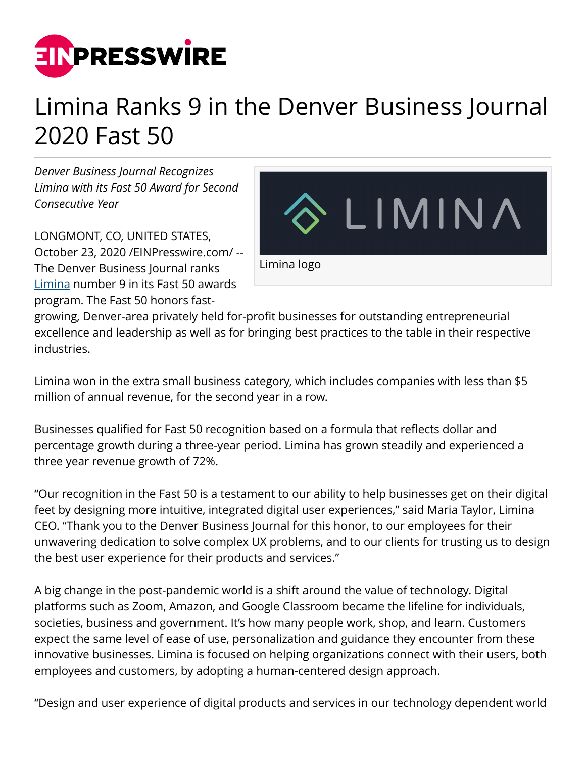

## Limina Ranks 9 in the Denver Business Journal 2020 Fast 50

*Denver Business Journal Recognizes Limina with its Fast 50 Award for Second Consecutive Year*

LONGMONT, CO, UNITED STATES, October 23, 2020 [/EINPresswire.com](http://www.einpresswire.com)/ -- The Denver Business Journal ranks [Limina](https://limina.co/) number 9 in its Fast 50 awards program. The Fast 50 honors fast-



growing, Denver-area privately held for-profit businesses for outstanding entrepreneurial excellence and leadership as well as for bringing best practices to the table in their respective industries.

Limina won in the extra small business category, which includes companies with less than \$5 million of annual revenue, for the second year in a row.

Businesses qualified for Fast 50 recognition based on a formula that reflects dollar and percentage growth during a three-year period. Limina has grown steadily and experienced a three year revenue growth of 72%.

"Our recognition in the Fast 50 is a testament to our ability to help businesses get on their digital feet by designing more intuitive, integrated digital user experiences," said Maria Taylor, Limina CEO. "Thank you to the Denver Business Journal for this honor, to our employees for their unwavering dedication to solve complex UX problems, and to our clients for trusting us to design the best user experience for their products and services."

A big change in the post-pandemic world is a shift around the value of technology. Digital platforms such as Zoom, Amazon, and Google Classroom became the lifeline for individuals, societies, business and government. It's how many people work, shop, and learn. Customers expect the same level of ease of use, personalization and guidance they encounter from these innovative businesses. Limina is focused on helping organizations connect with their users, both employees and customers, by adopting a human-centered design approach.

"Design and user experience of digital products and services in our technology dependent world